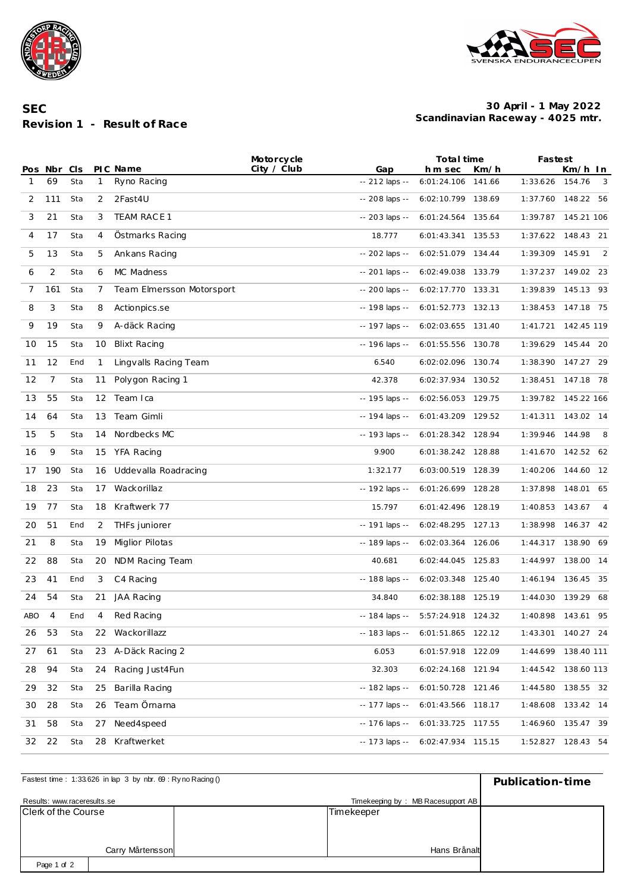



**SEC Revision 1 - Result of Race**

## **Scandinavian Raceway - 4025 mtr. 30 April - 1 May 2022**

|            |                |            |              |                           | Motorcycle  |                        | Total time             |                |                 | Fastest                  |  |  |
|------------|----------------|------------|--------------|---------------------------|-------------|------------------------|------------------------|----------------|-----------------|--------------------------|--|--|
| 1          | Pos Nbr<br>69  | CIS<br>Sta | $\mathbf{1}$ | PIC Name<br>Ryno Racing   | City / Club | Gap<br>$-212$ laps $-$ | h m sec<br>6:01:24.106 | Km/h<br>141.66 | 1:33.626        | Km/h In<br>154.76<br>- 3 |  |  |
|            |                |            |              |                           |             |                        |                        |                |                 |                          |  |  |
| 2          | 111            | Sta        | 2            | 2Fast4U                   |             | -- 208 laps --         | 6:02:10.799 138.69     |                |                 | 1:37.760 148.22 56       |  |  |
| 3          | 21             | Sta        | 3            | TEAM RACE 1               |             | $-203$ laps $-$        | 6:01:24.564 135.64     |                | 1:39.787        | 145.21 106               |  |  |
| 4          | 17             | Sta        | 4            | Ostmarks Racing           |             | 18.777                 | 6:01:43.341 135.53     |                |                 | 1:37.622 148.43 21       |  |  |
| 5          | 13             | Sta        | 5            | Ankans Racing             |             | -- 202 laps --         | 6:02:51.079 134.44     |                | 1:39.309        | 145.91<br>2              |  |  |
| 6          | 2              | Sta        | 6            | MC Madness                |             | $-201$ laps $-$        | 6:02:49.038            | 133.79         | 1:37.237        | 149.02 23                |  |  |
| 7          | 161            | Sta        | 7            | Team Elmersson Motorsport |             | -- 200 laps --         | 6:02:17.770 133.31     |                | 1:39.839        | 145.13 93                |  |  |
| 8          | 3              | Sta        | 8            | Actionpics.se             |             | -- 198 laps --         | 6:01:52.773 132.13     |                | 1:38.453        | 147.18 75                |  |  |
| 9          | 19             | Sta        | 9            | A-däck Racing             |             | -- 197 laps --         | 6:02:03.655 131.40     |                | 1:41.721        | 142.45 119               |  |  |
| 10         | 15             | Sta        | 10           | <b>Blixt Racing</b>       |             | -- 196 laps --         | 6:01:55.556 130.78     |                | 1:39.629        | 145.44 20                |  |  |
| 11         | 12             | End        | 1            | Lingvalls Racing Team     |             | 6.540                  | 6:02:02.096 130.74     |                | 1:38.390        | 147.27 29                |  |  |
| 12         | 7              | Sta        | 11           | Polygon Racing 1          |             | 42.378                 | 6:02:37.934 130.52     |                | 1:38.451        | 147.18<br>- 78           |  |  |
| 13         | 55             | Sta        | 12           | Team Ica                  |             | -- 195 laps --         | 6:02:56.053 129.75     |                | 1:39.782        | 145.22 166               |  |  |
| 14         | 64             | Sta        | 13           | Team Gimli                |             | -- 194 laps --         | 6:01:43.209 129.52     |                | 1:41.311        | 143.02 14                |  |  |
| 15         | 5              | Sta        | 14           | Nordbecks MC              |             | -- 193 laps --         | 6:01:28.342 128.94     |                | 1:39.946        | 144.98<br>- 8            |  |  |
| 16         | 9              | Sta        | 15           | YFA Racing                |             | 9.900                  | 6:01:38.242 128.88     |                |                 | 1:41.670 142.52 62       |  |  |
| 17         | 190            | Sta        | 16           | Uddevalla Roadracing      |             | 1:32.177               | 6:03:00.519 128.39     |                | 1:40.206        | 144.60 12                |  |  |
| 18         | 23             | Sta        | 17           | Wackorillaz               |             | -- 192 laps --         | 6:01:26.699 128.28     |                | 1:37.898        | 148.01 65                |  |  |
| 19         | 77             | Sta        | 18           | Kraftwerk 77              |             | 15.797                 | 6:01:42.496            | 128.19         | 1:40.853        | 143.67<br>$\overline{4}$ |  |  |
| 20         | 51             | End        | 2            | THFs juniorer             |             | -- 191 laps --         | 6:02:48.295 127.13     |                | 1:38.998        | 146.37 42                |  |  |
| 21         | 8              | Sta        | 19           | Miglior Pilotas           |             | -- 189 laps --         | 6:02:03.364            | 126.06         | 1:44.317        | 138.90 69                |  |  |
| 22         | 88             | Sta        | 20           | NDM Racing Team           |             | 40.681                 | 6:02:44.045 125.83     |                | 1:44.997        | 138.00 14                |  |  |
| 23         | 41             | End        | 3            | C4 Racing                 |             | -- 188 laps --         | 6:02:03.348 125.40     |                | 1:46.194 136.45 | 35                       |  |  |
| 24         | 54             | Sta        | 21           | JAA Racing                |             | 34.840                 | 6:02:38.188            | 125.19         | 1:44.030        | 139.29<br>- 68           |  |  |
| <b>ABO</b> | $\overline{4}$ | End        | 4            | Red Racing                |             | -- 184 laps --         | 5:57:24.918 124.32     |                |                 | 1:40.898 143.61 95       |  |  |
| 26         | 53             | Sta        |              | 22 Wackorillazz           |             | -- 183 laps --         | 6:01:51.865 122.12     |                | 1:43.301        | 140.27 24                |  |  |
| 27         | 61             | Sta        | 23           | A-Däck Racing 2           |             | 6.053                  | 6:01:57.918 122.09     |                | 1:44.699        | 138.40 111               |  |  |
| 28         | 94             | Sta        | 24           | Racing Just4Fun           |             | 32.303                 | 6:02:24.168 121.94     |                | 1:44.542        | 138.60 113               |  |  |
| 29         | 32             | Sta        | 25           | Barilla Racing            |             | -- 182 laps --         | 6:01:50.728 121.46     |                | 1:44.580        | 138.55 32                |  |  |
| 30         | 28             | Sta        | 26           | Team Örnarna              |             | -- 177 laps --         | 6:01:43.566 118.17     |                |                 | 1:48.608  133.42  14     |  |  |
| 31         | 58             | Sta        | 27           | Need4speed                |             | -- 176 laps --         | 6:01:33.725 117.55     |                |                 | 1:46.960 135.47 39       |  |  |
| 32         | 22             | Sta        | 28           | Kraftwerket               |             | -- 173 laps --         | 6:02:47.934 115.15     |                |                 | 1:52.827 128.43 54       |  |  |

| Fastest time: 1:33.626 in lap 3 by nbr. 69: Ryno Racing () | Publication-time |                                   |  |
|------------------------------------------------------------|------------------|-----------------------------------|--|
| Results: www.raceresults.se                                |                  | Timekeeping by: MB Racesupport AB |  |
| Clerk of the Course                                        |                  | Timekeeper                        |  |
|                                                            |                  |                                   |  |
|                                                            |                  |                                   |  |
|                                                            | Carry Mårtensson | Hans Brånalt                      |  |
| Page 1 of 2                                                |                  |                                   |  |